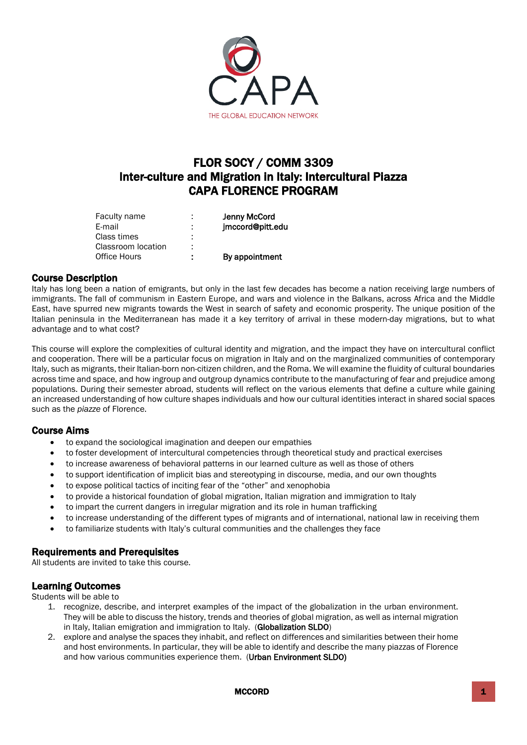

# FLOR SOCY / COMM 3309 Inter-culture and Migration in Italy: Intercultural Piazza CAPA FLORENCE PROGRAM

| Faculty name       | ٠<br>۰  | <b>Jenny McCord</b> |
|--------------------|---------|---------------------|
| E-mail             | ٠<br>ä, | jmccord@pitt.edu    |
| Class times        | ٠<br>٠  |                     |
| Classroom location | ÷       |                     |
| Office Hours       | ÷       | By appointment      |

# Course Description

Italy has long been a nation of emigrants, but only in the last few decades has become a nation receiving large numbers of immigrants. The fall of communism in Eastern Europe, and wars and violence in the Balkans, across Africa and the Middle East, have spurred new migrants towards the West in search of safety and economic prosperity. The unique position of the Italian peninsula in the Mediterranean has made it a key territory of arrival in these modern-day migrations, but to what advantage and to what cost?

This course will explore the complexities of cultural identity and migration, and the impact they have on intercultural conflict and cooperation. There will be a particular focus on migration in Italy and on the marginalized communities of contemporary Italy, such as migrants, their Italian-born non-citizen children, and the Roma. We will examine the fluidity of cultural boundaries across time and space, and how ingroup and outgroup dynamics contribute to the manufacturing of fear and prejudice among populations. During their semester abroad, students will reflect on the various elements that define a culture while gaining an increased understanding of how culture shapes individuals and how our cultural identities interact in shared social spaces such as the *piazze* of Florence.

# Course Aims

- to expand the sociological imagination and deepen our empathies
- to foster development of intercultural competencies through theoretical study and practical exercises
- to increase awareness of behavioral patterns in our learned culture as well as those of others
- to support identification of implicit bias and stereotyping in discourse, media, and our own thoughts
- to expose political tactics of inciting fear of the "other" and xenophobia
- to provide a historical foundation of global migration, Italian migration and immigration to Italy
- to impart the current dangers in irregular migration and its role in human trafficking
- to increase understanding of the different types of migrants and of international, national law in receiving them
- to familiarize students with Italy's cultural communities and the challenges they face

# Requirements and Prerequisites

All students are invited to take this course.

# Learning Outcomes

Students will be able to

- 1. recognize, describe, and interpret examples of the impact of the globalization in the urban environment. They will be able to discuss the history, trends and theories of global migration, as well as internal migration in Italy, Italian emigration and immigration to Italy. (Globalization SLDO)
- 2. explore and analyse the spaces they inhabit, and reflect on differences and similarities between their home and host environments. In particular, they will be able to identify and describe the many piazzas of Florence and how various communities experience them. (Urban Environment SLDO)

MCCORD **1**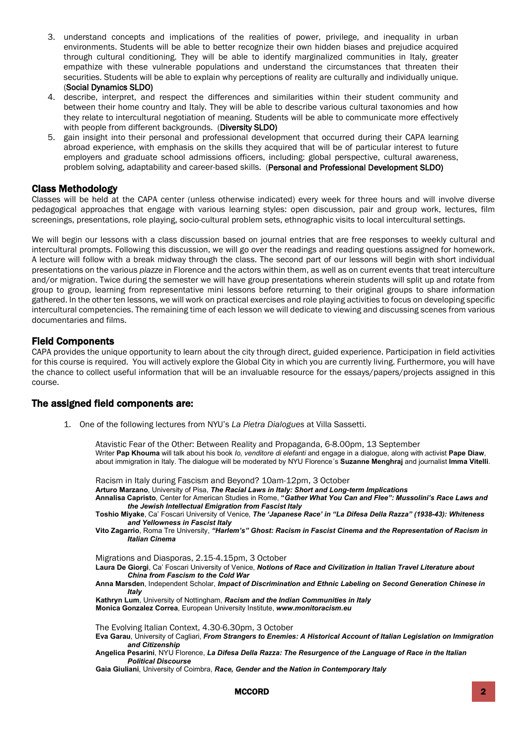- 3. understand concepts and implications of the realities of power, privilege, and inequality in urban environments. Students will be able to better recognize their own hidden biases and prejudice acquired through cultural conditioning. They will be able to identify marginalized communities in Italy, greater empathize with these vulnerable populations and understand the circumstances that threaten their securities. Students will be able to explain why perceptions of reality are culturally and individually unique. (Social Dynamics SLDO)
- 4. describe, interpret, and respect the differences and similarities within their student community and between their home country and Italy. They will be able to describe various cultural taxonomies and how they relate to intercultural negotiation of meaning. Students will be able to communicate more effectively with people from different backgrounds. (Diversity SLDO)
- 5. gain insight into their personal and professional development that occurred during their CAPA learning abroad experience, with emphasis on the skills they acquired that will be of particular interest to future employers and graduate school admissions officers, including: global perspective, cultural awareness, problem solving, adaptability and career-based skills. (Personal and Professional Development SLDO)

# Class Methodology

Classes will be held at the CAPA center (unless otherwise indicated) every week for three hours and will involve diverse pedagogical approaches that engage with various learning styles: open discussion, pair and group work, lectures, film screenings, presentations, role playing, socio-cultural problem sets, ethnographic visits to local intercultural settings.

We will begin our lessons with a class discussion based on journal entries that are free responses to weekly cultural and intercultural prompts. Following this discussion, we will go over the readings and reading questions assigned for homework. A lecture will follow with a break midway through the class. The second part of our lessons will begin with short individual presentations on the various *piazze* in Florence and the actors within them, as well as on current events that treat interculture and/or migration. Twice during the semester we will have group presentations wherein students will split up and rotate from group to group, learning from representative mini lessons before returning to their original groups to share information gathered. In the other ten lessons, we will work on practical exercises and role playing activities to focus on developing specific intercultural competencies. The remaining time of each lesson we will dedicate to viewing and discussing scenes from various documentaries and films.

#### Field Components

CAPA provides the unique opportunity to learn about the city through direct, guided experience. Participation in field activities for this course is required. You will actively explore the Global City in which you are currently living. Furthermore, you will have the chance to collect useful information that will be an invaluable resource for the essays/papers/projects assigned in this course.

#### The assigned field components are:

1. One of the following lectures from NYU's *La Pietra Dialogues* at Villa Sassetti.

Atavistic Fear of the Other: Between Reality and Propaganda, 6-8.00pm, 13 September Writer **Pap Khouma** will talk about his book *Io, venditore di elefanti* and engage in a dialogue, along with activist **Pape Diaw**, about immigration in Italy. The dialogue will be moderated by NYU Florence´s **Suzanne Menghraj** and journalist **Imma Vitelli**.

Racism in Italy during Fascism and Beyond? 10am-12pm, 3 October

**Arturo Marzano**, University of Pisa, *The Racial Laws in Italy: Short and Long-term Implications*

**Annalisa Capristo**, Center for American Studies in Rome, **"***Gather What You Can and Flee": Mussolini's Race Laws and the Jewish Intellectual Emigration from Fascist Italy*

**Toshio Miyake**, Ca' Foscari University of Venice, *The 'Japanese Race' in "La Difesa Della Razza" (1938-43): Whiteness and Yellowness in Fascist Italy*

**Vito Zagarrio**, Roma Tre University, *"Harlem's" Ghost: Racism in Fascist Cinema and the Representation of Racism in Italian Cinema*

Migrations and Diasporas, 2.15-4.15pm, 3 October

**Laura De Giorgi**, Ca' Foscari University of Venice, *Notions of Race and Civilization in Italian Travel Literature about China from Fascism to the Cold War*

**Anna Marsden**, Independent Scholar, *Impact of Discrimination and Ethnic Labeling on Second Generation Chinese in Italy*

**Kathryn Lum**, University of Nottingham, *Racism and the Indian Communities in Italy* **Monica Gonzalez Correa**, European University Institute, *www.monitoracism.eu*

The Evolving Italian Context, 4.30-6.30pm, 3 October

**Eva Garau**, University of Cagliari, *From Strangers to Enemies: A Historical Account of Italian Legislation on Immigration and Citizenship*

**Angelica Pesarini**, NYU Florence, *La Difesa Della Razza: The Resurgence of the Language of Race in the Italian Political Discourse*

**Gaia Giuliani**, University of Coimbra, *Race, Gender and the Nation in Contemporary Italy*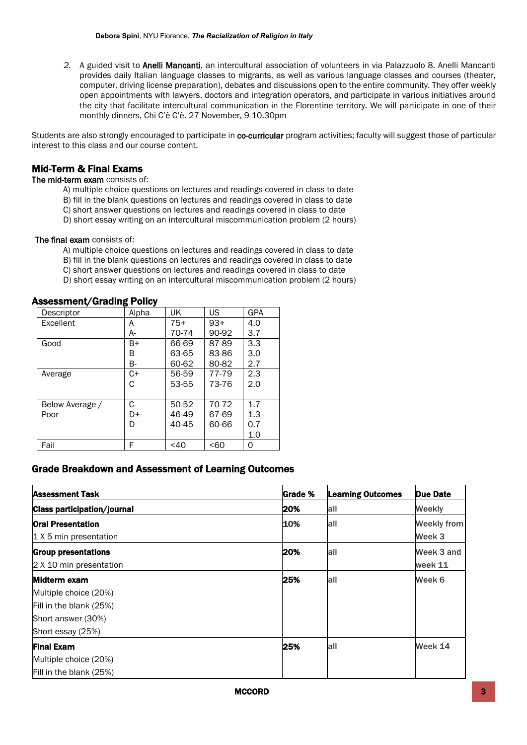*2.* A guided visit to Anelli Mancanti, an intercultural association of volunteers in via Palazzuolo 8. Anelli Mancanti provides daily Italian language classes to migrants, as well as various language classes and courses (theater, computer, driving license preparation), debates and discussions open to the entire community. They offer weekly open appointments with lawyers, doctors and integration operators, and participate in various initiatives around the city that facilitate intercultural communication in the Florentine territory. We will participate in one of their monthly dinners, Chi C'è C'è. 27 November, 9-10.30pm

Students are also strongly encouraged to participate in co-curricular program activities; faculty will suggest those of particular interest to this class and our course content.

# Mid-Term & Final Exams

#### The mid-term exam consists of:

- A) multiple choice questions on lectures and readings covered in class to date
- B) fill in the blank questions on lectures and readings covered in class to date
- C) short answer questions on lectures and readings covered in class to date
- D) short essay writing on an intercultural miscommunication problem (2 hours)

#### The final exam consists of:

- A) multiple choice questions on lectures and readings covered in class to date
- B) fill in the blank questions on lectures and readings covered in class to date
- C) short answer questions on lectures and readings covered in class to date
- D) short essay writing on an intercultural miscommunication problem (2 hours)

#### Assessment/Grading Policy

| Descriptor       | Alpha | UK        | US    | <b>GPA</b> |
|------------------|-------|-----------|-------|------------|
| <b>Excellent</b> | A     | $75+$     | $93+$ | 4.0        |
|                  | А-    | 70-74     | 90-92 | 3.7        |
| Good             | B+    | 66-69     | 87-89 | 3.3        |
|                  | В     | 63-65     | 83-86 | 3.0        |
|                  | В-    | 60-62     | 80-82 | 2.7        |
| Average          | C+    | 56-59     | 77-79 | 2.3        |
|                  | С     | 53-55     | 73-76 | 2.0        |
|                  |       |           |       |            |
| Below Average /  | $C-$  | 50-52     | 70-72 | 1.7        |
| Poor             | D+    | 46-49     | 67-69 | 1.3        |
|                  | D     | $40 - 45$ | 60-66 | 0.7        |
|                  |       |           |       | 1.0        |
| Fail             | F     | $<$ 40    | <60   | 0          |

# Grade Breakdown and Assessment of Learning Outcomes

| <b>Assessment Task</b>             | Grade % | <b>Learning Outcomes</b> | Due Date           |
|------------------------------------|---------|--------------------------|--------------------|
| <b>Class participation/journal</b> | 20%     | all                      | <b>Weekly</b>      |
| <b>Oral Presentation</b>           | 10%     | all                      | <b>Weekly from</b> |
| $1$ X 5 min presentation           |         |                          | Week 3             |
| <b>Group presentations</b>         | 20%     | all                      | Week 3 and         |
| 2 X 10 min presentation            |         |                          | week 11            |
| Midterm exam                       | 25%     | all                      | Week 6             |
| Multiple choice (20%)              |         |                          |                    |
| Fill in the blank (25%)            |         |                          |                    |
| Short answer (30%)                 |         |                          |                    |
| Short essay (25%)                  |         |                          |                    |
| <b>Final Exam</b>                  | 25%     | all                      | Week 14            |
| Multiple choice (20%)              |         |                          |                    |
| Fill in the blank (25%)            |         |                          |                    |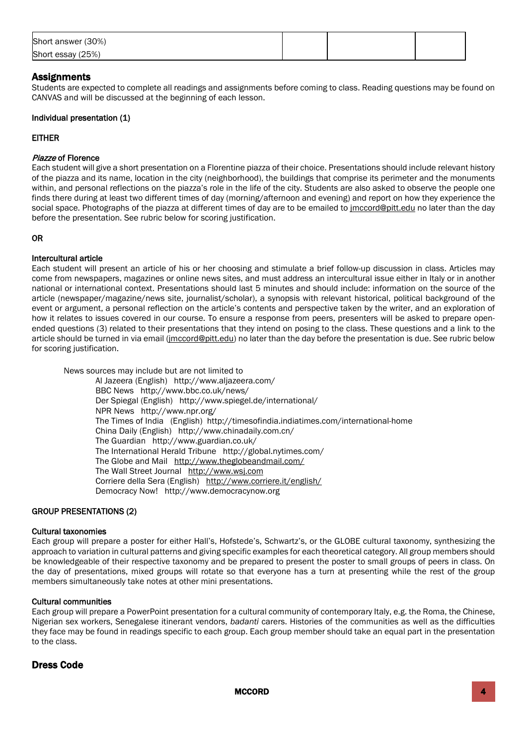| Short answer (30%) |  |  |
|--------------------|--|--|
| Short essay (25%)  |  |  |

# **Assignments**

Students are expected to complete all readings and assignments before coming to class. Reading questions may be found on CANVAS and will be discussed at the beginning of each lesson.

#### Individual presentation (1)

#### EITHER

#### Piazze of Florence

Each student will give a short presentation on a Florentine piazza of their choice. Presentations should include relevant history of the piazza and its name, location in the city (neighborhood), the buildings that comprise its perimeter and the monuments within, and personal reflections on the piazza's role in the life of the city. Students are also asked to observe the people one finds there during at least two different times of day (morning/afternoon and evening) and report on how they experience the social space. Photographs of the piazza at different times of day are to be emailed to *jmccord@pitt.edu* no later than the day before the presentation. See rubric below for scoring justification.

#### OR

#### Intercultural article

Each student will present an article of his or her choosing and stimulate a brief follow-up discussion in class. Articles may come from newspapers, magazines or online news sites, and must address an intercultural issue either in Italy or in another national or international context. Presentations should last 5 minutes and should include: information on the source of the article (newspaper/magazine/news site, journalist/scholar), a synopsis with relevant historical, political background of the event or argument, a personal reflection on the article's contents and perspective taken by the writer, and an exploration of how it relates to issues covered in our course. To ensure a response from peers, presenters will be asked to prepare openended questions (3) related to their presentations that they intend on posing to the class. These questions and a link to the article should be turned in via email [\(jmccord@pitt.edu\)](mailto:jmccord@pitt.edu) no later than the day before the presentation is due. See rubric below for scoring justification.

News sources may include but are not limited to Al Jazeera (English) http://www.aljazeera.com/ BBC News http://www.bbc.co.uk/news/ Der Spiegal (English) http://www.spiegel.de/international/ NPR News http://www.npr.org/ The Times of India (English) http://timesofindia.indiatimes.com/international-home China Daily (English) http://www.chinadaily.com.cn/ The Guardian http://www.guardian.co.uk/ The International Herald Tribune http://global.nytimes.com/ The Globe and Mail <http://www.theglobeandmail.com/> The Wall Street Journal [http://www.wsj.com](http://www.wsj.com/) Corriere della Sera (English) <http://www.corriere.it/english/> Democracy Now! http://www.democracynow.org

#### GROUP PRESENTATIONS (2)

#### Cultural taxonomies

Each group will prepare a poster for either Hall's, Hofstede's, Schwartz's, or the GLOBE cultural taxonomy, synthesizing the approach to variation in cultural patterns and giving specific examples for each theoretical category. All group members should be knowledgeable of their respective taxonomy and be prepared to present the poster to small groups of peers in class. On the day of presentations, mixed groups will rotate so that everyone has a turn at presenting while the rest of the group members simultaneously take notes at other mini presentations.

#### Cultural communities

Each group will prepare a PowerPoint presentation for a cultural community of contemporary Italy, e.g. the Roma, the Chinese, Nigerian sex workers, Senegalese itinerant vendors, *badanti* carers. Histories of the communities as well as the difficulties they face may be found in readings specific to each group. Each group member should take an equal part in the presentation to the class.

#### Dress Code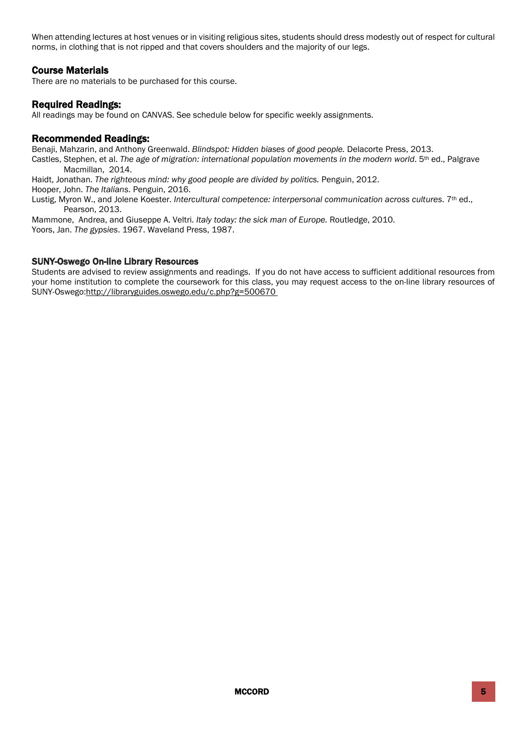When attending lectures at host venues or in visiting religious sites, students should dress modestly out of respect for cultural norms, in clothing that is not ripped and that covers shoulders and the majority of our legs.

# Course Materials

There are no materials to be purchased for this course.

#### Required Readings:

All readings may be found on CANVAS. See schedule below for specific weekly assignments.

#### Recommended Readings:

Benaji, Mahzarin, and Anthony Greenwald. *Blindspot: Hidden biases of good people.* Delacorte Press, 2013. Castles, Stephen, et al. The age of migration: international population movements in the modern world. 5<sup>th</sup> ed., Palgrave Macmillan, 2014.

Haidt, Jonathan. *The righteous mind: why good people are divided by politics.* Penguin, 2012.

Hooper, John. *The Italians*. Penguin, 2016.

Lustig, Myron W., and Jolene Koester. *Intercultural competence: interpersonal communication across cultures*. 7<sup>th</sup> ed., Pearson, 2013.

Mammone, Andrea, and Giuseppe A. Veltri. *Italy today: the sick man of Europe.* Routledge, 2010. Yoors, Jan. *The gypsies*. 1967. Waveland Press, 1987.

#### SUNY-Oswego On-line Library Resources

Students are advised to review assignments and readings. If you do not have access to sufficient additional resources from your home institution to complete the coursework for this class, you may request access to the on-line library resources of SUNY-Oswego[:http://libraryguides.oswego.edu/c.php?g=500670](http://libraryguides.oswego.edu/c.php?g=500670)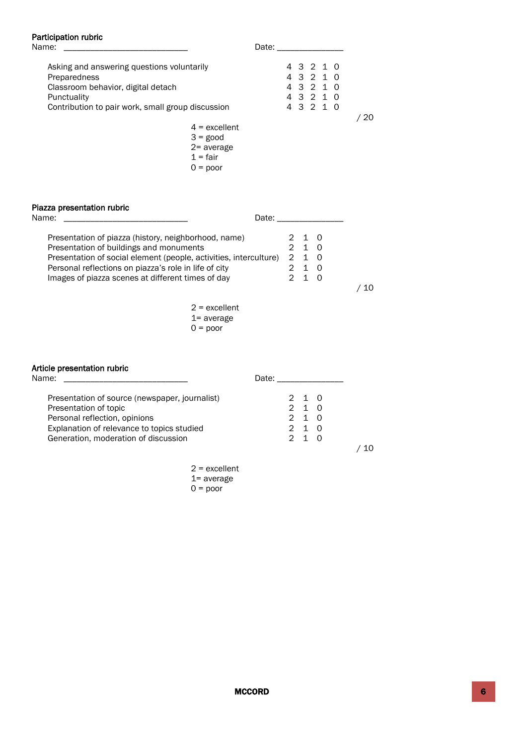# Participation rubric<br>Name:

| Name:                                             | Date: _________ |     |
|---------------------------------------------------|-----------------|-----|
| Asking and answering questions voluntarily        | 4 3 2 1 0       |     |
| Preparedness                                      | 4 3 2 1 0       |     |
| Classroom behavior, digital detach                | 4 3 2 1 0       |     |
| Punctuality                                       | 4 3 2 1 0       |     |
| Contribution to pair work, small group discussion | 4 3 2 1 0       |     |
|                                                   |                 | -20 |
| $4 =$ excellent                                   |                 |     |
| $3 = good$                                        |                 |     |

2= average  $1$  = fair

|  | 1 = fair   |
|--|------------|
|  | $0 =$ poor |

# Piazza presentation rubric

| Name:<br>Date:                                                    |       |  |
|-------------------------------------------------------------------|-------|--|
| Presentation of piazza (history, neighborhood, name)              | 2 1 0 |  |
| Presentation of buildings and monuments                           | 2 1 0 |  |
| Presentation of social element (people, activities, interculture) | 210   |  |
| Personal reflections on piazza's role in life of city             |       |  |
| Images of piazza scenes at different times of day                 |       |  |
|                                                                   |       |  |

2 = excellent 1= average  $0 = poor$ 

/ 10

#### Article presentation rubric

| Name:                                          | Date:          |  |
|------------------------------------------------|----------------|--|
| Presentation of source (newspaper, journalist) | 2 1 0          |  |
| Presentation of topic                          | 210            |  |
| Personal reflection, opinions                  | 210            |  |
| Explanation of relevance to topics studied     | 2 1 0          |  |
| Generation, moderation of discussion           | $2^{\prime}$ 1 |  |
|                                                |                |  |

2 = excellent 1= average  $0 = poor$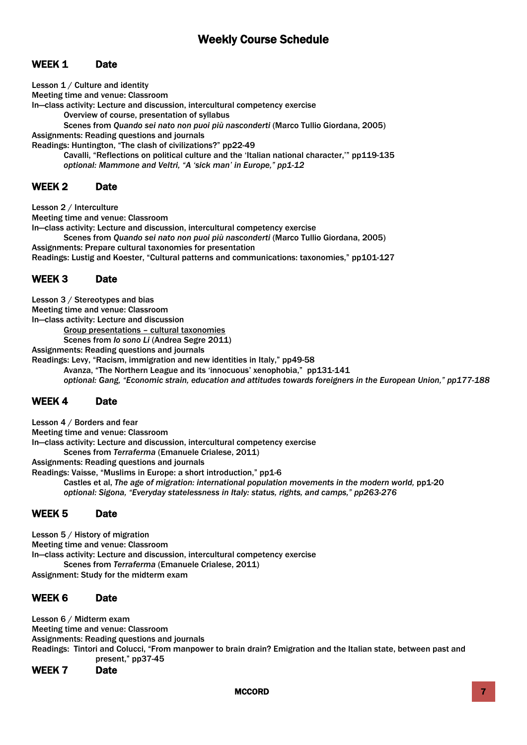# Weekly Course Schedule

# WEEK 1 Date

Lesson 1 / Culture and identity

Meeting time and venue: Classroom

In—class activity: Lecture and discussion, intercultural competency exercise

Overview of course, presentation of syllabus

Scenes from *Quando sei nato non puoi più nasconderti* (Marco Tullio Giordana, 2005) Assignments: Reading questions and journals

Readings: Huntington, "The clash of civilizations?" pp22-49

Cavalli, "Reflections on political culture and the 'Italian national character,'" pp119-135 *optional: Mammone and Veltri, "A 'sick man' in Europe," pp1-12*

#### WEEK 2 Date

Lesson 2 / Interculture

Meeting time and venue: Classroom

In—class activity: Lecture and discussion, intercultural competency exercise

Scenes from *Quando sei nato non puoi più nasconderti* (Marco Tullio Giordana, 2005) Assignments: Prepare cultural taxonomies for presentation Readings: Lustig and Koester, "Cultural patterns and communications: taxonomies," pp101-127

# WEEK 3 Date

Lesson 3 / Stereotypes and bias

Meeting time and venue: Classroom

In—class activity: Lecture and discussion

Group presentations – cultural taxonomies

Scenes from *Io sono Li* (Andrea Segre 2011)

Assignments: Reading questions and journals

Readings: Levy, "Racism, immigration and new identities in Italy," pp49-58 Avanza, "The Northern League and its 'innocuous' xenophobia," pp131-141 *optional: Gang, "Economic strain, education and attitudes towards foreigners in the European Union," pp177-188*

# WEEK 4 Date

Lesson 4 / Borders and fear Meeting time and venue: Classroom In—class activity: Lecture and discussion, intercultural competency exercise Scenes from *Terraferma* (Emanuele Crialese, 2011) Assignments: Reading questions and journals Readings: Vaisse, "Muslims in Europe: a short introduction," pp1-6 Castles et al, *The age of migration: international population movements in the modern world, pp1-20 optional: Sigona, "Everyday statelessness in Italy: status, rights, and camps," pp263-276*

# WEEK 5 Date

Lesson 5 / History of migration Meeting time and venue: Classroom In—class activity: Lecture and discussion, intercultural competency exercise Scenes from *Terraferma* (Emanuele Crialese, 2011) Assignment: Study for the midterm exam

# WEEK 6 Date

Lesson 6 / Midterm exam Meeting time and venue: Classroom Assignments: Reading questions and journals Readings: Tintori and Colucci, "From manpower to brain drain? Emigration and the Italian state, between past and present," pp37-45

WEEK 7 Date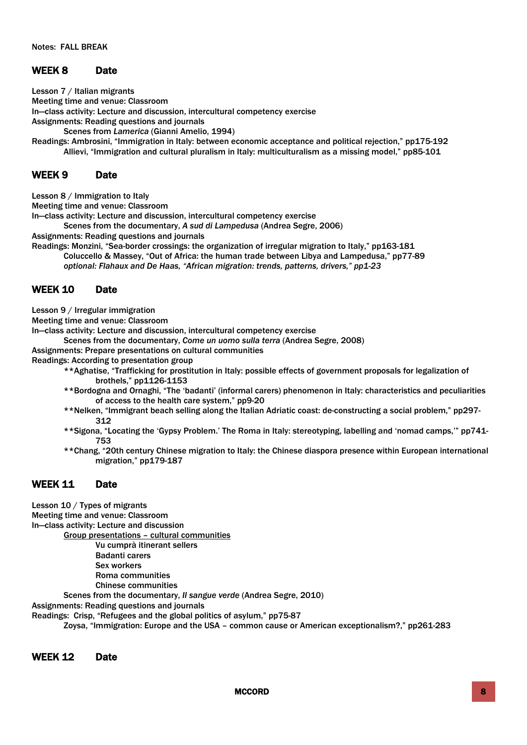# WEEK 8 Date

Lesson 7 / Italian migrants Meeting time and venue: Classroom In—class activity: Lecture and discussion, intercultural competency exercise Assignments: Reading questions and journals Scenes from *Lamerica* (Gianni Amelio, 1994)

Readings: Ambrosini, "Immigration in Italy: between economic acceptance and political rejection," pp175-192 Allievi, "Immigration and cultural pluralism in Italy: multiculturalism as a missing model," pp85-101

#### WEEK 9 Date

Lesson 8 / Immigration to Italy

Meeting time and venue: Classroom

In—class activity: Lecture and discussion, intercultural competency exercise

Scenes from the documentary, *A sud di Lampedusa* (Andrea Segre, 2006)

Assignments: Reading questions and journals

Readings: Monzini, "Sea-border crossings: the organization of irregular migration to Italy," pp163-181

Coluccello & Massey, "Out of Africa: the human trade between Libya and Lampedusa," pp77-89 *optional: Flahaux and De Haas, "African migration: trends, patterns, drivers," pp1-23*

#### WEEK 10 Date

Lesson 9 / Irregular immigration

Meeting time and venue: Classroom

In—class activity: Lecture and discussion, intercultural competency exercise

Scenes from the documentary, *Come un uomo sulla terra* (Andrea Segre, 2008)

Assignments: Prepare presentations on cultural communities

Readings: According to presentation group

- \*\*Aghatise, "Trafficking for prostitution in Italy: possible effects of government proposals for legalization of brothels," pp1126-1153
- \*\*Bordogna and Ornaghi, "The 'badanti' (informal carers) phenomenon in Italy: characteristics and peculiarities of access to the health care system," pp9-20
- \*\*Nelken, "Immigrant beach selling along the Italian Adriatic coast: de-constructing a social problem," pp297- 312
- \*\*Sigona, "Locating the 'Gypsy Problem.' The Roma in Italy: stereotyping, labelling and 'nomad camps,'" pp741- 753
- \*\*Chang, "20th century Chinese migration to Italy: the Chinese diaspora presence within European international migration," pp179-187

# WEEK 11 Date

Lesson 10 / Types of migrants Meeting time and venue: Classroom In—class activity: Lecture and discussion Group presentations – cultural communities Vu cumprà itinerant sellers Badanti carers Sex workers Roma communities Chinese communities Scenes from the documentary, *Il sangue verde* (Andrea Segre, 2010)

Assignments: Reading questions and journals

Readings: Crisp, "Refugees and the global politics of asylum," pp75-87

Zoysa, "Immigration: Europe and the USA – common cause or American exceptionalism?," pp261-283

#### WEEK 12 Date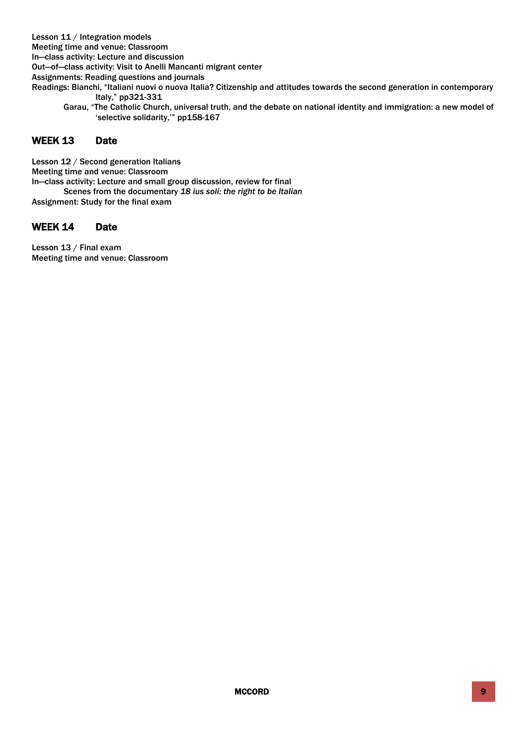Lesson 11 / Integration models

Meeting time and venue: Classroom

In—class activity: Lecture and discussion

Out—of—class activity: Visit to Anelli Mancanti migrant center

Assignments: Reading questions and journals

- Readings: Bianchi, "Italiani nuovi o nuova Italia? Citizenship and attitudes towards the second generation in contemporary Italy," pp321-331
	- Garau, "The Catholic Church, universal truth, and the debate on national identity and immigration: a new model of 'selective solidarity,'" pp158-167

# WEEK 13 Date

Lesson 12 / Second generation Italians Meeting time and venue: Classroom In—class activity: Lecture and small group discussion, review for final Scenes from the documentary *18 ius soli: the right to be Italian* Assignment: Study for the final exam

# WEEK 14 Date

Lesson 13 / Final exam Meeting time and venue: Classroom